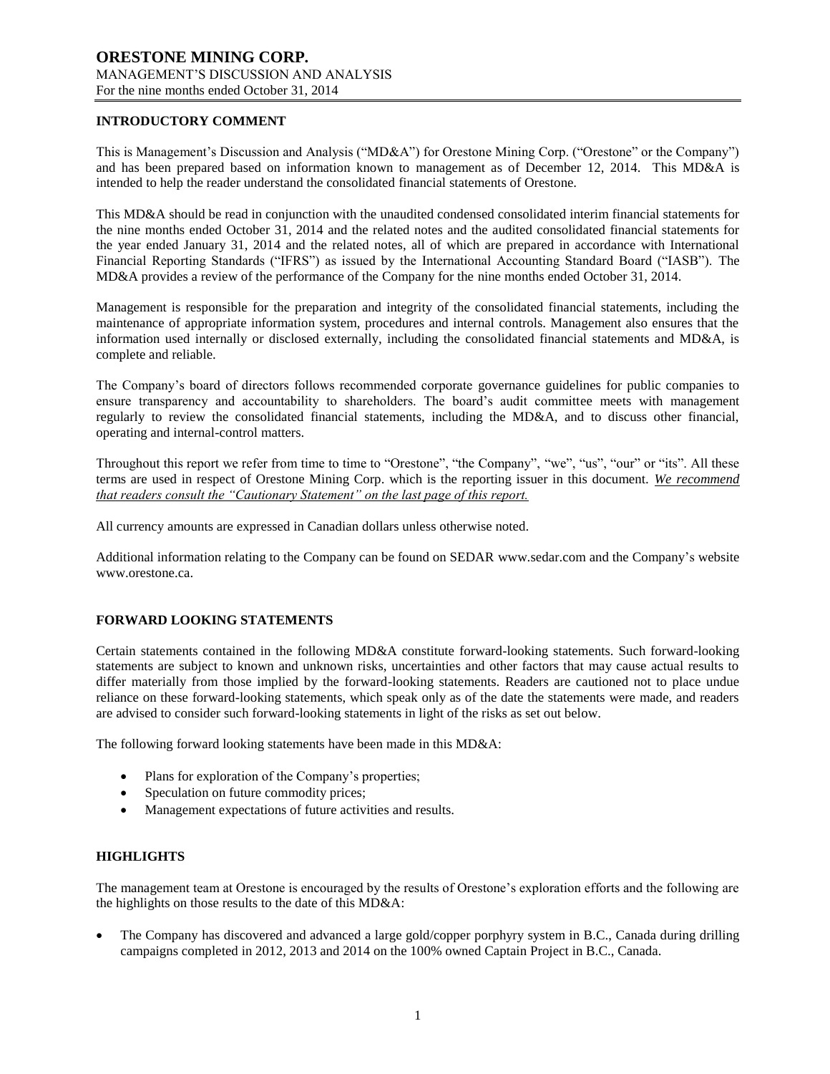## **INTRODUCTORY COMMENT**

This is Management's Discussion and Analysis ("MD&A") for Orestone Mining Corp. ("Orestone" or the Company") and has been prepared based on information known to management as of December 12, 2014. This MD&A is intended to help the reader understand the consolidated financial statements of Orestone.

This MD&A should be read in conjunction with the unaudited condensed consolidated interim financial statements for the nine months ended October 31, 2014 and the related notes and the audited consolidated financial statements for the year ended January 31, 2014 and the related notes, all of which are prepared in accordance with International Financial Reporting Standards ("IFRS") as issued by the International Accounting Standard Board ("IASB"). The MD&A provides a review of the performance of the Company for the nine months ended October 31, 2014.

Management is responsible for the preparation and integrity of the consolidated financial statements, including the maintenance of appropriate information system, procedures and internal controls. Management also ensures that the information used internally or disclosed externally, including the consolidated financial statements and MD&A, is complete and reliable.

The Company's board of directors follows recommended corporate governance guidelines for public companies to ensure transparency and accountability to shareholders. The board's audit committee meets with management regularly to review the consolidated financial statements, including the MD&A, and to discuss other financial, operating and internal-control matters.

Throughout this report we refer from time to time to "Orestone", "the Company", "we", "us", "our" or "its". All these terms are used in respect of Orestone Mining Corp. which is the reporting issuer in this document. *We recommend that readers consult the "Cautionary Statement" on the last page of this report.*

All currency amounts are expressed in Canadian dollars unless otherwise noted.

Additional information relating to the Company can be found on SEDAR www.sedar.com and the Company's website www.orestone.ca.

## **FORWARD LOOKING STATEMENTS**

Certain statements contained in the following MD&A constitute forward-looking statements. Such forward-looking statements are subject to known and unknown risks, uncertainties and other factors that may cause actual results to differ materially from those implied by the forward-looking statements. Readers are cautioned not to place undue reliance on these forward-looking statements, which speak only as of the date the statements were made, and readers are advised to consider such forward-looking statements in light of the risks as set out below.

The following forward looking statements have been made in this MD&A:

- Plans for exploration of the Company's properties;
- Speculation on future commodity prices;
- Management expectations of future activities and results.

#### **HIGHLIGHTS**

The management team at Orestone is encouraged by the results of Orestone's exploration efforts and the following are the highlights on those results to the date of this MD&A:

 The Company has discovered and advanced a large gold/copper porphyry system in B.C., Canada during drilling campaigns completed in 2012, 2013 and 2014 on the 100% owned Captain Project in B.C., Canada.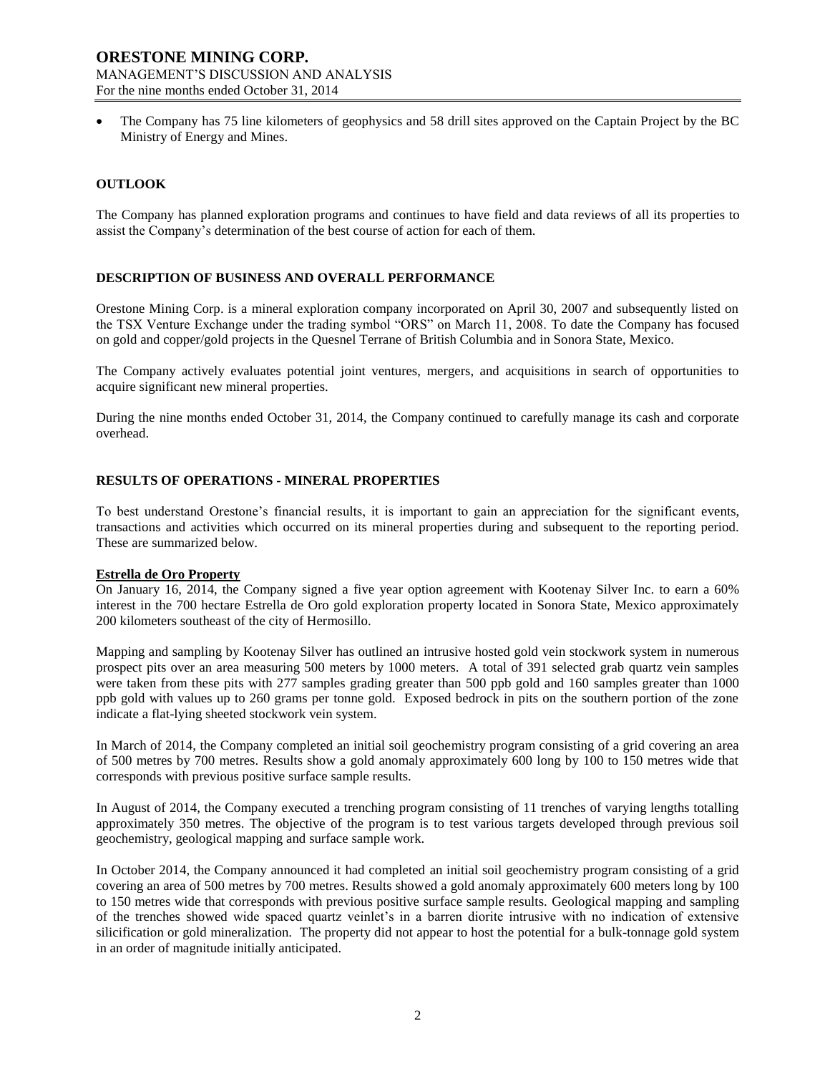The Company has 75 line kilometers of geophysics and 58 drill sites approved on the Captain Project by the BC Ministry of Energy and Mines.

## **OUTLOOK**

The Company has planned exploration programs and continues to have field and data reviews of all its properties to assist the Company's determination of the best course of action for each of them.

## **DESCRIPTION OF BUSINESS AND OVERALL PERFORMANCE**

Orestone Mining Corp. is a mineral exploration company incorporated on April 30, 2007 and subsequently listed on the TSX Venture Exchange under the trading symbol "ORS" on March 11, 2008. To date the Company has focused on gold and copper/gold projects in the Quesnel Terrane of British Columbia and in Sonora State, Mexico.

The Company actively evaluates potential joint ventures, mergers, and acquisitions in search of opportunities to acquire significant new mineral properties.

During the nine months ended October 31, 2014, the Company continued to carefully manage its cash and corporate overhead.

## **RESULTS OF OPERATIONS - MINERAL PROPERTIES**

To best understand Orestone's financial results, it is important to gain an appreciation for the significant events, transactions and activities which occurred on its mineral properties during and subsequent to the reporting period. These are summarized below.

#### **Estrella de Oro Property**

On January 16, 2014, the Company signed a five year option agreement with Kootenay Silver Inc. to earn a 60% interest in the 700 hectare Estrella de Oro gold exploration property located in Sonora State, Mexico approximately 200 kilometers southeast of the city of Hermosillo.

Mapping and sampling by Kootenay Silver has outlined an intrusive hosted gold vein stockwork system in numerous prospect pits over an area measuring 500 meters by 1000 meters. A total of 391 selected grab quartz vein samples were taken from these pits with 277 samples grading greater than 500 ppb gold and 160 samples greater than 1000 ppb gold with values up to 260 grams per tonne gold. Exposed bedrock in pits on the southern portion of the zone indicate a flat-lying sheeted stockwork vein system.

In March of 2014, the Company completed an initial soil geochemistry program consisting of a grid covering an area of 500 metres by 700 metres. Results show a gold anomaly approximately 600 long by 100 to 150 metres wide that corresponds with previous positive surface sample results.

In August of 2014, the Company executed a trenching program consisting of 11 trenches of varying lengths totalling approximately 350 metres. The objective of the program is to test various targets developed through previous soil geochemistry, geological mapping and surface sample work.

In October 2014, the Company announced it had completed an initial soil geochemistry program consisting of a grid covering an area of 500 metres by 700 metres. Results showed a gold anomaly approximately 600 meters long by 100 to 150 metres wide that corresponds with previous positive surface sample results. Geological mapping and sampling of the trenches showed wide spaced quartz veinlet's in a barren diorite intrusive with no indication of extensive silicification or gold mineralization. The property did not appear to host the potential for a bulk-tonnage gold system in an order of magnitude initially anticipated.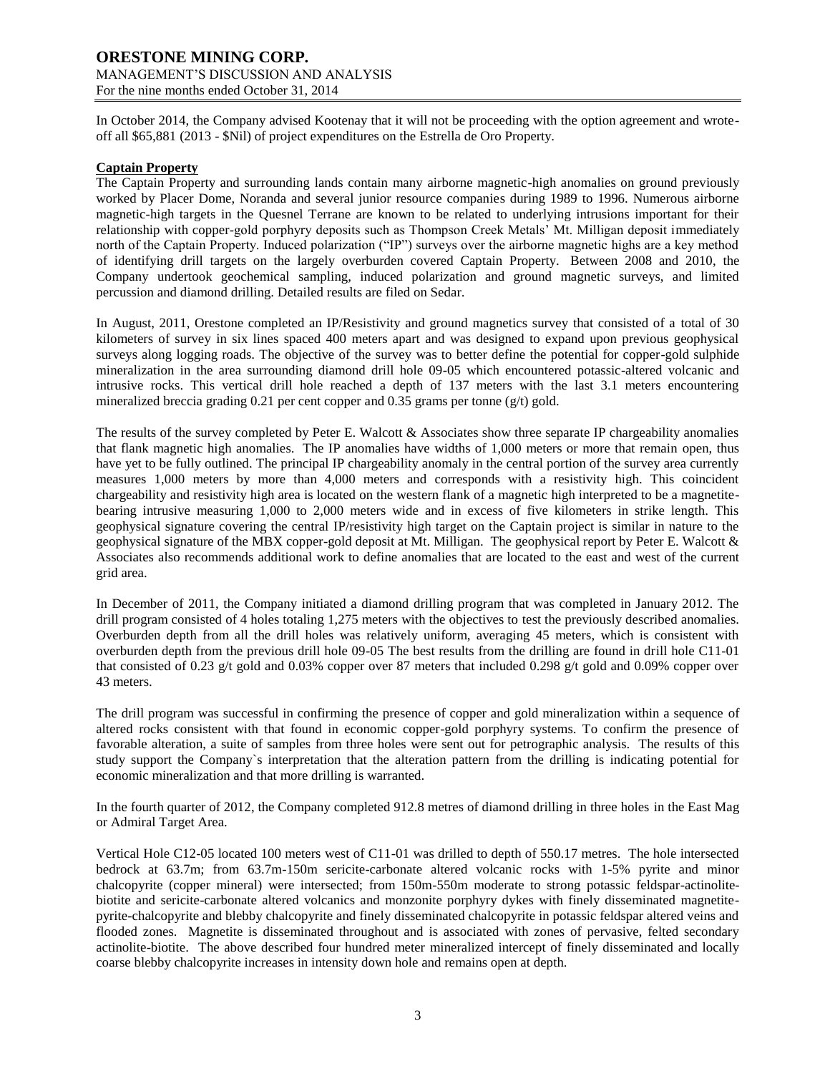# **ORESTONE MINING CORP.** MANAGEMENT'S DISCUSSION AND ANALYSIS

For the nine months ended October 31, 2014

In October 2014, the Company advised Kootenay that it will not be proceeding with the option agreement and wroteoff all \$65,881 (2013 - \$Nil) of project expenditures on the Estrella de Oro Property.

## **Captain Property**

The Captain Property and surrounding lands contain many airborne magnetic-high anomalies on ground previously worked by Placer Dome, Noranda and several junior resource companies during 1989 to 1996. Numerous airborne magnetic-high targets in the Quesnel Terrane are known to be related to underlying intrusions important for their relationship with copper-gold porphyry deposits such as Thompson Creek Metals' Mt. Milligan deposit immediately north of the Captain Property. Induced polarization ("IP") surveys over the airborne magnetic highs are a key method of identifying drill targets on the largely overburden covered Captain Property. Between 2008 and 2010, the Company undertook geochemical sampling, induced polarization and ground magnetic surveys, and limited percussion and diamond drilling. Detailed results are filed on Sedar.

In August, 2011, Orestone completed an IP/Resistivity and ground magnetics survey that consisted of a total of 30 kilometers of survey in six lines spaced 400 meters apart and was designed to expand upon previous geophysical surveys along logging roads. The objective of the survey was to better define the potential for copper-gold sulphide mineralization in the area surrounding diamond drill hole 09-05 which encountered potassic-altered volcanic and intrusive rocks. This vertical drill hole reached a depth of 137 meters with the last 3.1 meters encountering mineralized breccia grading 0.21 per cent copper and 0.35 grams per tonne (g/t) gold.

The results of the survey completed by Peter E. Walcott & Associates show three separate IP chargeability anomalies that flank magnetic high anomalies. The IP anomalies have widths of 1,000 meters or more that remain open, thus have yet to be fully outlined. The principal IP chargeability anomaly in the central portion of the survey area currently measures 1,000 meters by more than 4,000 meters and corresponds with a resistivity high. This coincident chargeability and resistivity high area is located on the western flank of a magnetic high interpreted to be a magnetitebearing intrusive measuring 1,000 to 2,000 meters wide and in excess of five kilometers in strike length. This geophysical signature covering the central IP/resistivity high target on the Captain project is similar in nature to the geophysical signature of the MBX copper-gold deposit at Mt. Milligan. The geophysical report by Peter E. Walcott & Associates also recommends additional work to define anomalies that are located to the east and west of the current grid area.

In December of 2011, the Company initiated a diamond drilling program that was completed in January 2012. The drill program consisted of 4 holes totaling 1,275 meters with the objectives to test the previously described anomalies. Overburden depth from all the drill holes was relatively uniform, averaging 45 meters, which is consistent with overburden depth from the previous drill hole 09-05 The best results from the drilling are found in drill hole C11-01 that consisted of 0.23 g/t gold and 0.03% copper over 87 meters that included 0.298 g/t gold and 0.09% copper over 43 meters.

The drill program was successful in confirming the presence of copper and gold mineralization within a sequence of altered rocks consistent with that found in economic copper-gold porphyry systems. To confirm the presence of favorable alteration, a suite of samples from three holes were sent out for petrographic analysis. The results of this study support the Company`s interpretation that the alteration pattern from the drilling is indicating potential for economic mineralization and that more drilling is warranted.

In the fourth quarter of 2012, the Company completed 912.8 metres of diamond drilling in three holes in the East Mag or Admiral Target Area.

Vertical Hole C12-05 located 100 meters west of C11-01 was drilled to depth of 550.17 metres. The hole intersected bedrock at 63.7m; from 63.7m-150m sericite-carbonate altered volcanic rocks with 1-5% pyrite and minor chalcopyrite (copper mineral) were intersected; from 150m-550m moderate to strong potassic feldspar-actinolitebiotite and sericite-carbonate altered volcanics and monzonite porphyry dykes with finely disseminated magnetitepyrite-chalcopyrite and blebby chalcopyrite and finely disseminated chalcopyrite in potassic feldspar altered veins and flooded zones. Magnetite is disseminated throughout and is associated with zones of pervasive, felted secondary actinolite-biotite. The above described four hundred meter mineralized intercept of finely disseminated and locally coarse blebby chalcopyrite increases in intensity down hole and remains open at depth.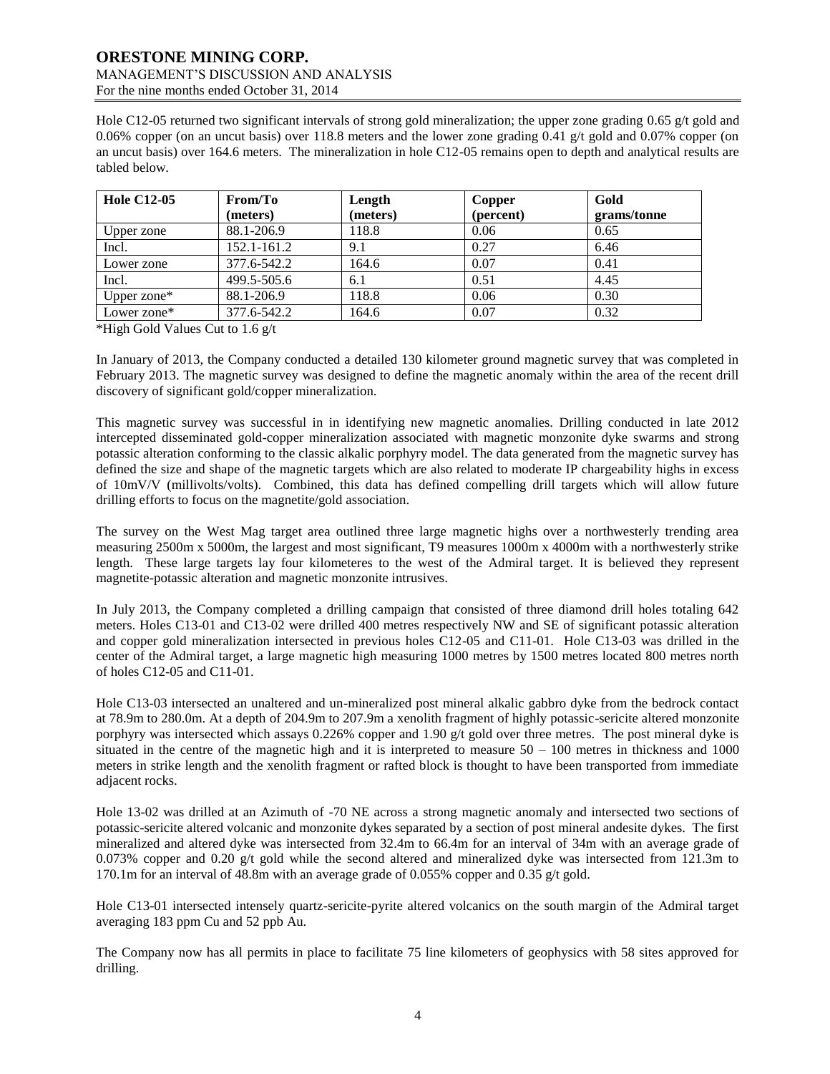Hole C12-05 returned two significant intervals of strong gold mineralization; the upper zone grading 0.65 g/t gold and 0.06% copper (on an uncut basis) over 118.8 meters and the lower zone grading 0.41 g/t gold and 0.07% copper (on an uncut basis) over 164.6 meters. The mineralization in hole C12-05 remains open to depth and analytical results are tabled below.

| <b>Hole C12-05</b> | From/To     | Length   | Copper    | Gold        |
|--------------------|-------------|----------|-----------|-------------|
|                    | (meters)    | (meters) | (percent) | grams/tonne |
| Upper zone         | 88.1-206.9  | 118.8    | 0.06      | 0.65        |
| Incl.              | 152.1-161.2 | 9.1      | 0.27      | 6.46        |
| Lower zone         | 377.6-542.2 | 164.6    | 0.07      | 0.41        |
| Incl.              | 499.5-505.6 | 6.1      | 0.51      | 4.45        |
| Upper zone*        | 88.1-206.9  | 118.8    | 0.06      | 0.30        |
| Lower zone*        | 377.6-542.2 | 164.6    | 0.07      | 0.32        |

\*High Gold Values Cut to 1.6 g/t

In January of 2013, the Company conducted a detailed 130 kilometer ground magnetic survey that was completed in February 2013. The magnetic survey was designed to define the magnetic anomaly within the area of the recent drill discovery of significant gold/copper mineralization.

This magnetic survey was successful in in identifying new magnetic anomalies. Drilling conducted in late 2012 intercepted disseminated gold-copper mineralization associated with magnetic monzonite dyke swarms and strong potassic alteration conforming to the classic alkalic porphyry model. The data generated from the magnetic survey has defined the size and shape of the magnetic targets which are also related to moderate IP chargeability highs in excess of 10mV/V (millivolts/volts). Combined, this data has defined compelling drill targets which will allow future drilling efforts to focus on the magnetite/gold association.

The survey on the West Mag target area outlined three large magnetic highs over a northwesterly trending area measuring 2500m x 5000m, the largest and most significant, T9 measures 1000m x 4000m with a northwesterly strike length. These large targets lay four kilometeres to the west of the Admiral target. It is believed they represent magnetite-potassic alteration and magnetic monzonite intrusives.

In July 2013, the Company completed a drilling campaign that consisted of three diamond drill holes totaling 642 meters. Holes C13-01 and C13-02 were drilled 400 metres respectively NW and SE of significant potassic alteration and copper gold mineralization intersected in previous holes C12-05 and C11-01. Hole C13-03 was drilled in the center of the Admiral target, a large magnetic high measuring 1000 metres by 1500 metres located 800 metres north of holes C12-05 and C11-01.

Hole C13-03 intersected an unaltered and un-mineralized post mineral alkalic gabbro dyke from the bedrock contact at 78.9m to 280.0m. At a depth of 204.9m to 207.9m a xenolith fragment of highly potassic-sericite altered monzonite porphyry was intersected which assays 0.226% copper and 1.90  $g/t$  gold over three metres. The post mineral dyke is situated in the centre of the magnetic high and it is interpreted to measure  $50 - 100$  metres in thickness and 1000 meters in strike length and the xenolith fragment or rafted block is thought to have been transported from immediate adjacent rocks.

Hole 13-02 was drilled at an Azimuth of -70 NE across a strong magnetic anomaly and intersected two sections of potassic-sericite altered volcanic and monzonite dykes separated by a section of post mineral andesite dykes. The first mineralized and altered dyke was intersected from 32.4m to 66.4m for an interval of 34m with an average grade of 0.073% copper and 0.20 g/t gold while the second altered and mineralized dyke was intersected from 121.3m to 170.1m for an interval of 48.8m with an average grade of 0.055% copper and 0.35 g/t gold.

Hole C13-01 intersected intensely quartz-sericite-pyrite altered volcanics on the south margin of the Admiral target averaging 183 ppm Cu and 52 ppb Au.

The Company now has all permits in place to facilitate 75 line kilometers of geophysics with 58 sites approved for drilling.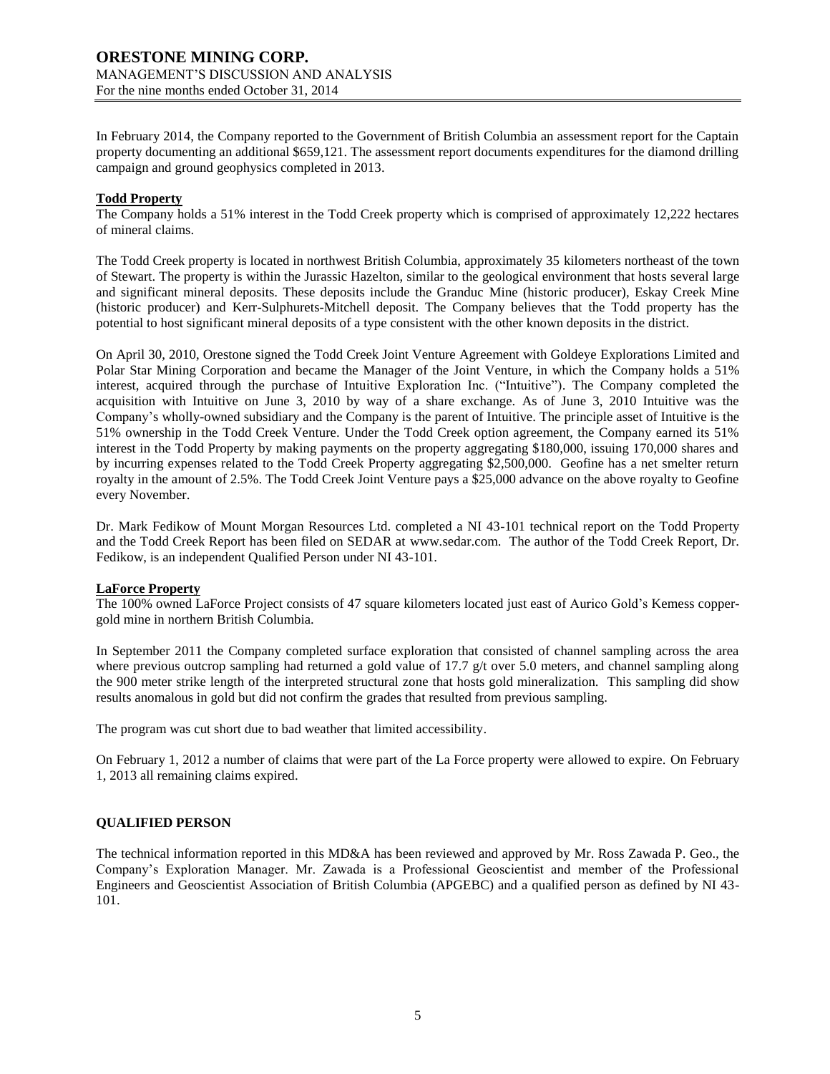In February 2014, the Company reported to the Government of British Columbia an assessment report for the Captain property documenting an additional \$659,121. The assessment report documents expenditures for the diamond drilling campaign and ground geophysics completed in 2013.

## **Todd Property**

The Company holds a 51% interest in the Todd Creek property which is comprised of approximately 12,222 hectares of mineral claims.

The Todd Creek property is located in northwest British Columbia, approximately 35 kilometers northeast of the town of Stewart. The property is within the Jurassic Hazelton, similar to the geological environment that hosts several large and significant mineral deposits. These deposits include the Granduc Mine (historic producer), Eskay Creek Mine (historic producer) and Kerr-Sulphurets-Mitchell deposit. The Company believes that the Todd property has the potential to host significant mineral deposits of a type consistent with the other known deposits in the district.

On April 30, 2010, Orestone signed the Todd Creek Joint Venture Agreement with Goldeye Explorations Limited and Polar Star Mining Corporation and became the Manager of the Joint Venture, in which the Company holds a 51% interest, acquired through the purchase of Intuitive Exploration Inc. ("Intuitive"). The Company completed the acquisition with Intuitive on June 3, 2010 by way of a share exchange. As of June 3, 2010 Intuitive was the Company's wholly-owned subsidiary and the Company is the parent of Intuitive. The principle asset of Intuitive is the 51% ownership in the Todd Creek Venture. Under the Todd Creek option agreement, the Company earned its 51% interest in the Todd Property by making payments on the property aggregating \$180,000, issuing 170,000 shares and by incurring expenses related to the Todd Creek Property aggregating \$2,500,000. Geofine has a net smelter return royalty in the amount of 2.5%. The Todd Creek Joint Venture pays a \$25,000 advance on the above royalty to Geofine every November.

Dr. Mark Fedikow of Mount Morgan Resources Ltd. completed a NI 43-101 technical report on the Todd Property and the Todd Creek Report has been filed on SEDAR at [www.sedar.com.](http://www.sedar.com/) The author of the Todd Creek Report, Dr. Fedikow, is an independent Qualified Person under NI 43-101.

## **LaForce Property**

The 100% owned LaForce Project consists of 47 square kilometers located just east of Aurico Gold's Kemess coppergold mine in northern British Columbia.

In September 2011 the Company completed surface exploration that consisted of channel sampling across the area where previous outcrop sampling had returned a gold value of 17.7  $g/t$  over 5.0 meters, and channel sampling along the 900 meter strike length of the interpreted structural zone that hosts gold mineralization. This sampling did show results anomalous in gold but did not confirm the grades that resulted from previous sampling.

The program was cut short due to bad weather that limited accessibility.

On February 1, 2012 a number of claims that were part of the La Force property were allowed to expire. On February 1, 2013 all remaining claims expired.

## **QUALIFIED PERSON**

The technical information reported in this MD&A has been reviewed and approved by Mr. Ross Zawada P. Geo., the Company's Exploration Manager. Mr. Zawada is a Professional Geoscientist and member of the Professional Engineers and Geoscientist Association of British Columbia (APGEBC) and a qualified person as defined by NI 43- 101.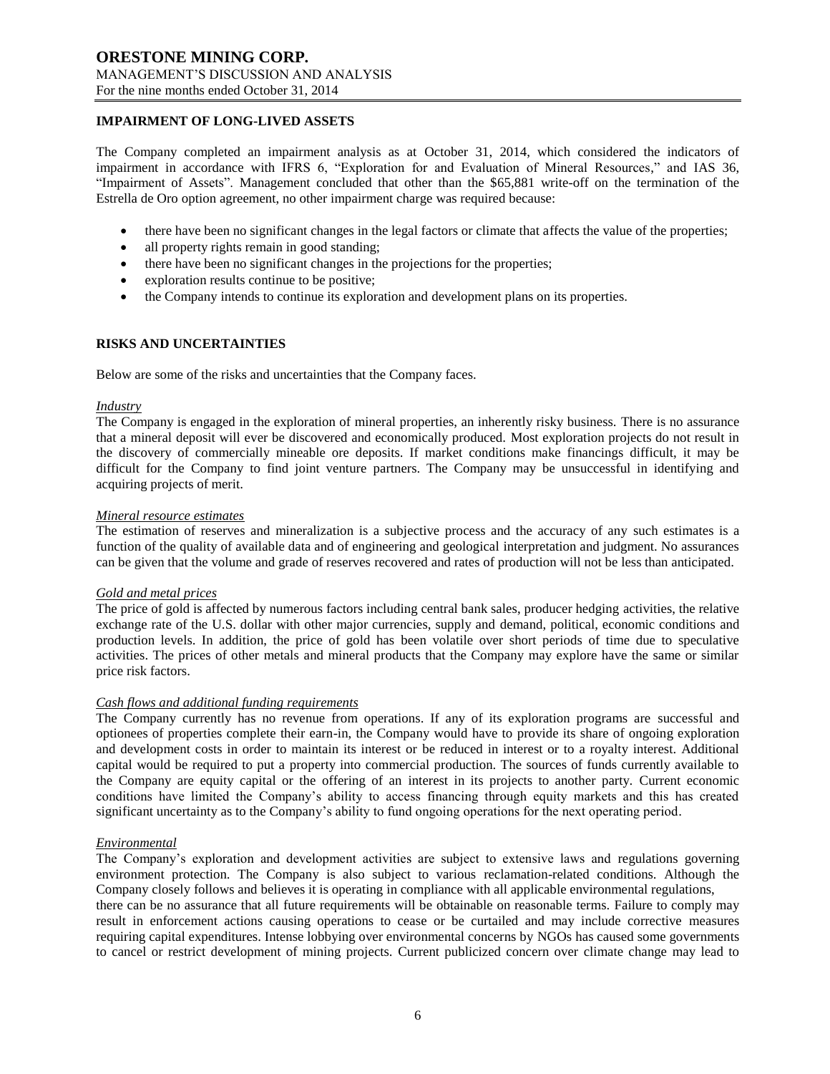## **IMPAIRMENT OF LONG-LIVED ASSETS**

The Company completed an impairment analysis as at October 31, 2014, which considered the indicators of impairment in accordance with IFRS 6, "Exploration for and Evaluation of Mineral Resources," and IAS 36, "Impairment of Assets". Management concluded that other than the \$65,881 write-off on the termination of the Estrella de Oro option agreement, no other impairment charge was required because:

- there have been no significant changes in the legal factors or climate that affects the value of the properties;
- all property rights remain in good standing;
- there have been no significant changes in the projections for the properties;
- exploration results continue to be positive;
- the Company intends to continue its exploration and development plans on its properties.

#### **RISKS AND UNCERTAINTIES**

Below are some of the risks and uncertainties that the Company faces.

#### *Industry*

The Company is engaged in the exploration of mineral properties, an inherently risky business. There is no assurance that a mineral deposit will ever be discovered and economically produced. Most exploration projects do not result in the discovery of commercially mineable ore deposits. If market conditions make financings difficult, it may be difficult for the Company to find joint venture partners. The Company may be unsuccessful in identifying and acquiring projects of merit.

#### *Mineral resource estimates*

The estimation of reserves and mineralization is a subjective process and the accuracy of any such estimates is a function of the quality of available data and of engineering and geological interpretation and judgment. No assurances can be given that the volume and grade of reserves recovered and rates of production will not be less than anticipated.

#### *Gold and metal prices*

The price of gold is affected by numerous factors including central bank sales, producer hedging activities, the relative exchange rate of the U.S. dollar with other major currencies, supply and demand, political, economic conditions and production levels. In addition, the price of gold has been volatile over short periods of time due to speculative activities. The prices of other metals and mineral products that the Company may explore have the same or similar price risk factors.

## *Cash flows and additional funding requirements*

The Company currently has no revenue from operations. If any of its exploration programs are successful and optionees of properties complete their earn-in, the Company would have to provide its share of ongoing exploration and development costs in order to maintain its interest or be reduced in interest or to a royalty interest. Additional capital would be required to put a property into commercial production. The sources of funds currently available to the Company are equity capital or the offering of an interest in its projects to another party. Current economic conditions have limited the Company's ability to access financing through equity markets and this has created significant uncertainty as to the Company's ability to fund ongoing operations for the next operating period.

#### *Environmental*

The Company's exploration and development activities are subject to extensive laws and regulations governing environment protection. The Company is also subject to various reclamation-related conditions. Although the Company closely follows and believes it is operating in compliance with all applicable environmental regulations, there can be no assurance that all future requirements will be obtainable on reasonable terms. Failure to comply may result in enforcement actions causing operations to cease or be curtailed and may include corrective measures requiring capital expenditures. Intense lobbying over environmental concerns by NGOs has caused some governments to cancel or restrict development of mining projects. Current publicized concern over climate change may lead to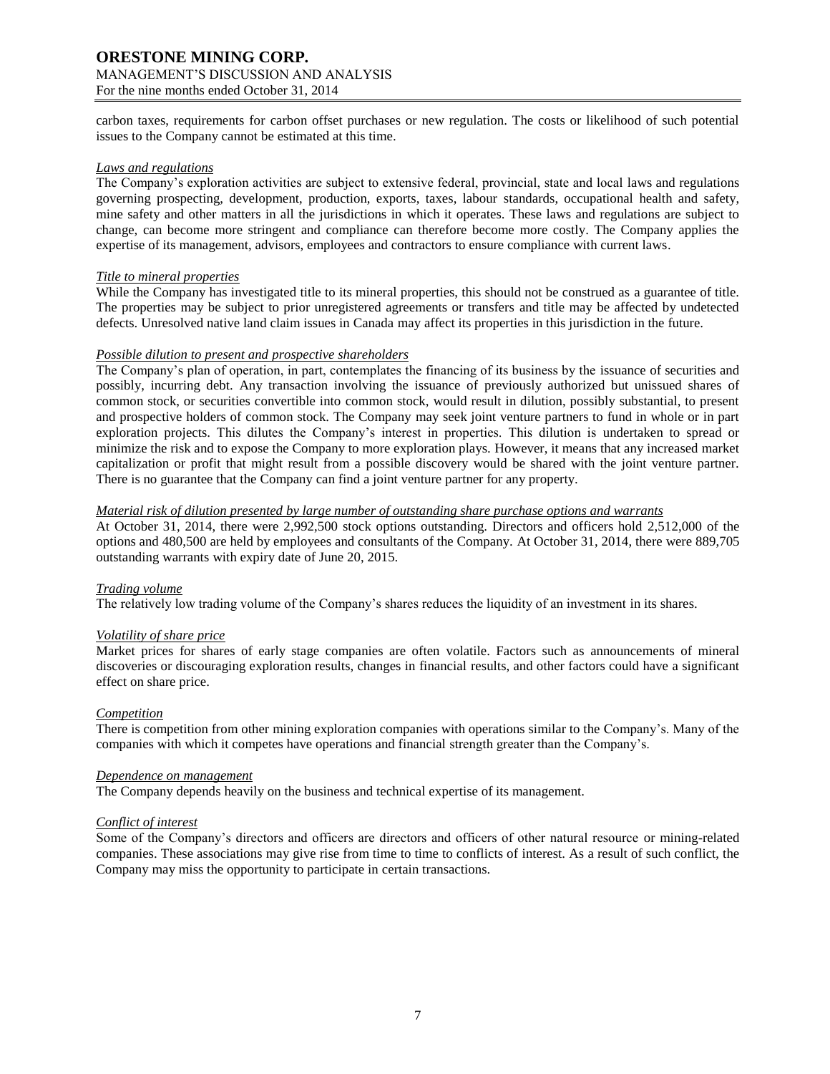carbon taxes, requirements for carbon offset purchases or new regulation. The costs or likelihood of such potential issues to the Company cannot be estimated at this time.

#### *Laws and regulations*

The Company's exploration activities are subject to extensive federal, provincial, state and local laws and regulations governing prospecting, development, production, exports, taxes, labour standards, occupational health and safety, mine safety and other matters in all the jurisdictions in which it operates. These laws and regulations are subject to change, can become more stringent and compliance can therefore become more costly. The Company applies the expertise of its management, advisors, employees and contractors to ensure compliance with current laws.

#### *Title to mineral properties*

While the Company has investigated title to its mineral properties, this should not be construed as a guarantee of title. The properties may be subject to prior unregistered agreements or transfers and title may be affected by undetected defects. Unresolved native land claim issues in Canada may affect its properties in this jurisdiction in the future.

#### *Possible dilution to present and prospective shareholders*

The Company's plan of operation, in part, contemplates the financing of its business by the issuance of securities and possibly, incurring debt. Any transaction involving the issuance of previously authorized but unissued shares of common stock, or securities convertible into common stock, would result in dilution, possibly substantial, to present and prospective holders of common stock. The Company may seek joint venture partners to fund in whole or in part exploration projects. This dilutes the Company's interest in properties. This dilution is undertaken to spread or minimize the risk and to expose the Company to more exploration plays. However, it means that any increased market capitalization or profit that might result from a possible discovery would be shared with the joint venture partner. There is no guarantee that the Company can find a joint venture partner for any property.

#### *Material risk of dilution presented by large number of outstanding share purchase options and warrants*

At October 31, 2014, there were 2,992,500 stock options outstanding. Directors and officers hold 2,512,000 of the options and 480,500 are held by employees and consultants of the Company. At October 31, 2014, there were 889,705 outstanding warrants with expiry date of June 20, 2015.

#### *Trading volume*

The relatively low trading volume of the Company's shares reduces the liquidity of an investment in its shares.

#### *Volatility of share price*

Market prices for shares of early stage companies are often volatile. Factors such as announcements of mineral discoveries or discouraging exploration results, changes in financial results, and other factors could have a significant effect on share price.

#### *Competition*

There is competition from other mining exploration companies with operations similar to the Company's. Many of the companies with which it competes have operations and financial strength greater than the Company's.

#### *Dependence on management*

The Company depends heavily on the business and technical expertise of its management.

#### *Conflict of interest*

Some of the Company's directors and officers are directors and officers of other natural resource or mining-related companies. These associations may give rise from time to time to conflicts of interest. As a result of such conflict, the Company may miss the opportunity to participate in certain transactions.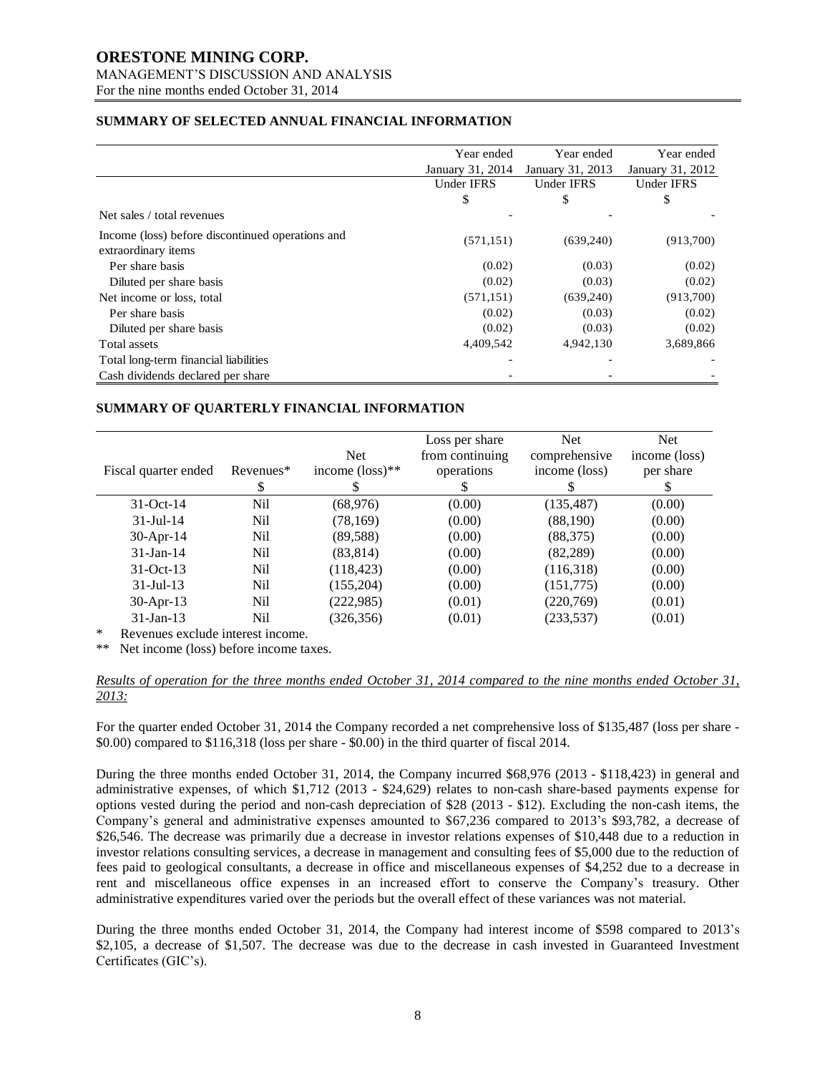# **ORESTONE MINING CORP.**

MANAGEMENT'S DISCUSSION AND ANALYSIS

For the nine months ended October 31, 2014

## **SUMMARY OF SELECTED ANNUAL FINANCIAL INFORMATION**

|                                                  | Year ended       | Year ended        | Year ended        |
|--------------------------------------------------|------------------|-------------------|-------------------|
|                                                  | January 31, 2014 | January 31, 2013  | January 31, 2012  |
|                                                  | Under IFRS       | <b>Under IFRS</b> | <b>Under IFRS</b> |
|                                                  | \$               | \$                | \$                |
| Net sales / total revenues                       |                  |                   |                   |
| Income (loss) before discontinued operations and | (571, 151)       | (639,240)         | (913,700)         |
| extraordinary items                              |                  |                   |                   |
| Per share basis                                  | (0.02)           | (0.03)            | (0.02)            |
| Diluted per share basis                          | (0.02)           | (0.03)            | (0.02)            |
| Net income or loss, total                        | (571, 151)       | (639,240)         | (913,700)         |
| Per share basis                                  | (0.02)           | (0.03)            | (0.02)            |
| Diluted per share basis                          | (0.02)           | (0.03)            | (0.02)            |
| Total assets                                     | 4,409,542        | 4,942,130         | 3,689,866         |
| Total long-term financial liabilities            |                  |                   |                   |
| Cash dividends declared per share                |                  |                   |                   |

## **SUMMARY OF QUARTERLY FINANCIAL INFORMATION**

|                                            |                 | <b>Net</b>                  | Loss per share<br>from continuing | <b>Net</b><br>comprehensive | Net.<br>income (loss) |
|--------------------------------------------|-----------------|-----------------------------|-----------------------------------|-----------------------------|-----------------------|
| Fiscal quarter ended                       | Revenues*       | income $(\text{loss})^{**}$ | operations                        | income (loss)               | per share             |
|                                            | S               |                             |                                   |                             | S                     |
| $31 - Oct-14$                              | Nil             | (68,976)                    | (0.00)                            | (135, 487)                  | (0.00)                |
| $31 -$ Jul-14                              | Nil             | (78, 169)                   | (0.00)                            | (88,190)                    | (0.00)                |
| 30-Apr-14                                  | Nil             | (89, 588)                   | (0.00)                            | (88,375)                    | (0.00)                |
| $31$ -Jan-14                               | Nil             | (83, 814)                   | (0.00)                            | (82, 289)                   | (0.00)                |
| $31-Oct-13$                                | N <sub>il</sub> | (118, 423)                  | (0.00)                            | (116,318)                   | (0.00)                |
| $31 -$ Jul $-13$                           | Nil             | (155, 204)                  | (0.00)                            | (151, 775)                  | (0.00)                |
| $30$ -Apr-13                               | Nil             | (222, 985)                  | (0.01)                            | (220,769)                   | (0.01)                |
| $31$ -Jan-13                               | Nil             | (326, 356)                  | (0.01)                            | (233, 537)                  | (0.01)                |
| $\ast$<br>Dovanues exclude interest income |                 |                             |                                   |                             |                       |

Revenues exclude interest income.

\*\* Net income (loss) before income taxes.

## *Results of operation for the three months ended October 31, 2014 compared to the nine months ended October 31, 2013:*

For the quarter ended October 31, 2014 the Company recorded a net comprehensive loss of \$135,487 (loss per share - \$0.00) compared to \$116,318 (loss per share - \$0.00) in the third quarter of fiscal 2014.

During the three months ended October 31, 2014, the Company incurred \$68,976 (2013 - \$118,423) in general and administrative expenses, of which \$1,712 (2013 - \$24,629) relates to non-cash share-based payments expense for options vested during the period and non-cash depreciation of \$28 (2013 - \$12). Excluding the non-cash items, the Company's general and administrative expenses amounted to \$67,236 compared to 2013's \$93,782, a decrease of \$26,546. The decrease was primarily due a decrease in investor relations expenses of \$10,448 due to a reduction in investor relations consulting services, a decrease in management and consulting fees of \$5,000 due to the reduction of fees paid to geological consultants, a decrease in office and miscellaneous expenses of \$4,252 due to a decrease in rent and miscellaneous office expenses in an increased effort to conserve the Company's treasury. Other administrative expenditures varied over the periods but the overall effect of these variances was not material.

During the three months ended October 31, 2014, the Company had interest income of \$598 compared to 2013's \$2,105, a decrease of \$1,507. The decrease was due to the decrease in cash invested in Guaranteed Investment Certificates (GIC's).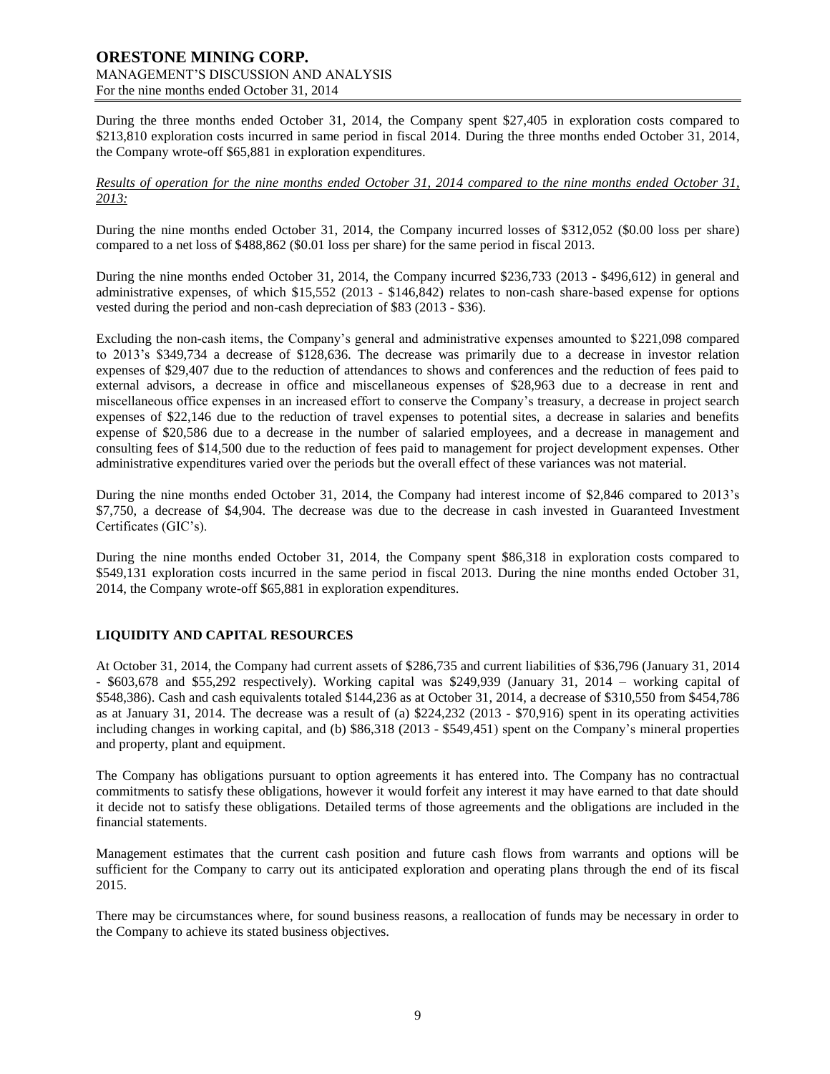During the three months ended October 31, 2014, the Company spent \$27,405 in exploration costs compared to \$213,810 exploration costs incurred in same period in fiscal 2014. During the three months ended October 31, 2014, the Company wrote-off \$65,881 in exploration expenditures.

## *Results of operation for the nine months ended October 31, 2014 compared to the nine months ended October 31, 2013:*

During the nine months ended October 31, 2014, the Company incurred losses of \$312,052 (\$0.00 loss per share) compared to a net loss of \$488,862 (\$0.01 loss per share) for the same period in fiscal 2013.

During the nine months ended October 31, 2014, the Company incurred \$236,733 (2013 - \$496,612) in general and administrative expenses, of which \$15,552 (2013 - \$146,842) relates to non-cash share-based expense for options vested during the period and non-cash depreciation of \$83 (2013 - \$36).

Excluding the non-cash items, the Company's general and administrative expenses amounted to \$221,098 compared to 2013's \$349,734 a decrease of \$128,636. The decrease was primarily due to a decrease in investor relation expenses of \$29,407 due to the reduction of attendances to shows and conferences and the reduction of fees paid to external advisors, a decrease in office and miscellaneous expenses of \$28,963 due to a decrease in rent and miscellaneous office expenses in an increased effort to conserve the Company's treasury, a decrease in project search expenses of \$22,146 due to the reduction of travel expenses to potential sites, a decrease in salaries and benefits expense of \$20,586 due to a decrease in the number of salaried employees, and a decrease in management and consulting fees of \$14,500 due to the reduction of fees paid to management for project development expenses. Other administrative expenditures varied over the periods but the overall effect of these variances was not material.

During the nine months ended October 31, 2014, the Company had interest income of \$2,846 compared to 2013's \$7,750, a decrease of \$4,904. The decrease was due to the decrease in cash invested in Guaranteed Investment Certificates (GIC's).

During the nine months ended October 31, 2014, the Company spent \$86,318 in exploration costs compared to \$549,131 exploration costs incurred in the same period in fiscal 2013. During the nine months ended October 31, 2014, the Company wrote-off \$65,881 in exploration expenditures.

## **LIQUIDITY AND CAPITAL RESOURCES**

At October 31, 2014, the Company had current assets of \$286,735 and current liabilities of \$36,796 (January 31, 2014 - \$603,678 and \$55,292 respectively). Working capital was \$249,939 (January 31, 2014 – working capital of \$548,386). Cash and cash equivalents totaled \$144,236 as at October 31, 2014, a decrease of \$310,550 from \$454,786 as at January 31, 2014. The decrease was a result of (a) \$224,232 (2013 - \$70,916) spent in its operating activities including changes in working capital, and (b) \$86,318 (2013 - \$549,451) spent on the Company's mineral properties and property, plant and equipment.

The Company has obligations pursuant to option agreements it has entered into. The Company has no contractual commitments to satisfy these obligations, however it would forfeit any interest it may have earned to that date should it decide not to satisfy these obligations. Detailed terms of those agreements and the obligations are included in the financial statements.

Management estimates that the current cash position and future cash flows from warrants and options will be sufficient for the Company to carry out its anticipated exploration and operating plans through the end of its fiscal 2015.

There may be circumstances where, for sound business reasons, a reallocation of funds may be necessary in order to the Company to achieve its stated business objectives.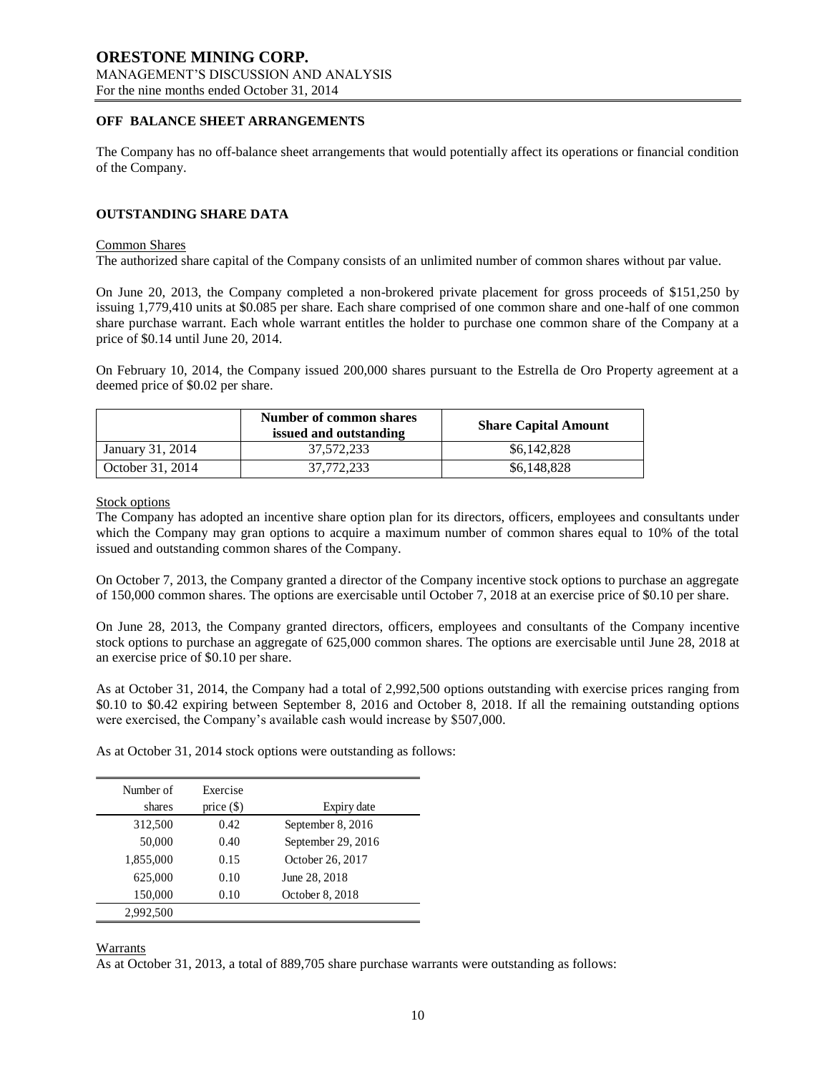## **OFF BALANCE SHEET ARRANGEMENTS**

The Company has no off-balance sheet arrangements that would potentially affect its operations or financial condition of the Company.

## **OUTSTANDING SHARE DATA**

#### Common Shares

The authorized share capital of the Company consists of an unlimited number of common shares without par value.

On June 20, 2013, the Company completed a non-brokered private placement for gross proceeds of \$151,250 by issuing 1,779,410 units at \$0.085 per share. Each share comprised of one common share and one-half of one common share purchase warrant. Each whole warrant entitles the holder to purchase one common share of the Company at a price of \$0.14 until June 20, 2014.

On February 10, 2014, the Company issued 200,000 shares pursuant to the Estrella de Oro Property agreement at a deemed price of \$0.02 per share.

|                  | Number of common shares<br>issued and outstanding | <b>Share Capital Amount</b> |
|------------------|---------------------------------------------------|-----------------------------|
| January 31, 2014 | 37.572.233                                        | \$6,142,828                 |
| October 31, 2014 | 37.772.233                                        | \$6,148,828                 |

Stock options

The Company has adopted an incentive share option plan for its directors, officers, employees and consultants under which the Company may gran options to acquire a maximum number of common shares equal to 10% of the total issued and outstanding common shares of the Company.

On October 7, 2013, the Company granted a director of the Company incentive stock options to purchase an aggregate of 150,000 common shares. The options are exercisable until October 7, 2018 at an exercise price of \$0.10 per share.

On June 28, 2013, the Company granted directors, officers, employees and consultants of the Company incentive stock options to purchase an aggregate of 625,000 common shares. The options are exercisable until June 28, 2018 at an exercise price of \$0.10 per share.

As at October 31, 2014, the Company had a total of 2,992,500 options outstanding with exercise prices ranging from \$0.10 to \$0.42 expiring between September 8, 2016 and October 8, 2018. If all the remaining outstanding options were exercised, the Company's available cash would increase by \$507,000.

As at October 31, 2014 stock options were outstanding as follows:

| Number of<br>shares | Exercise<br>price $(\$)$ | Expiry date        |
|---------------------|--------------------------|--------------------|
| 312,500             | 0.42                     | September 8, 2016  |
| 50,000              | 0.40                     | September 29, 2016 |
| 1,855,000           | 0.15                     | October 26, 2017   |
| 625,000             | 0.10                     | June 28, 2018      |
| 150,000             | 0.10                     | October 8, 2018    |
| 2.992.500           |                          |                    |

Warrants

As at October 31, 2013, a total of 889,705 share purchase warrants were outstanding as follows: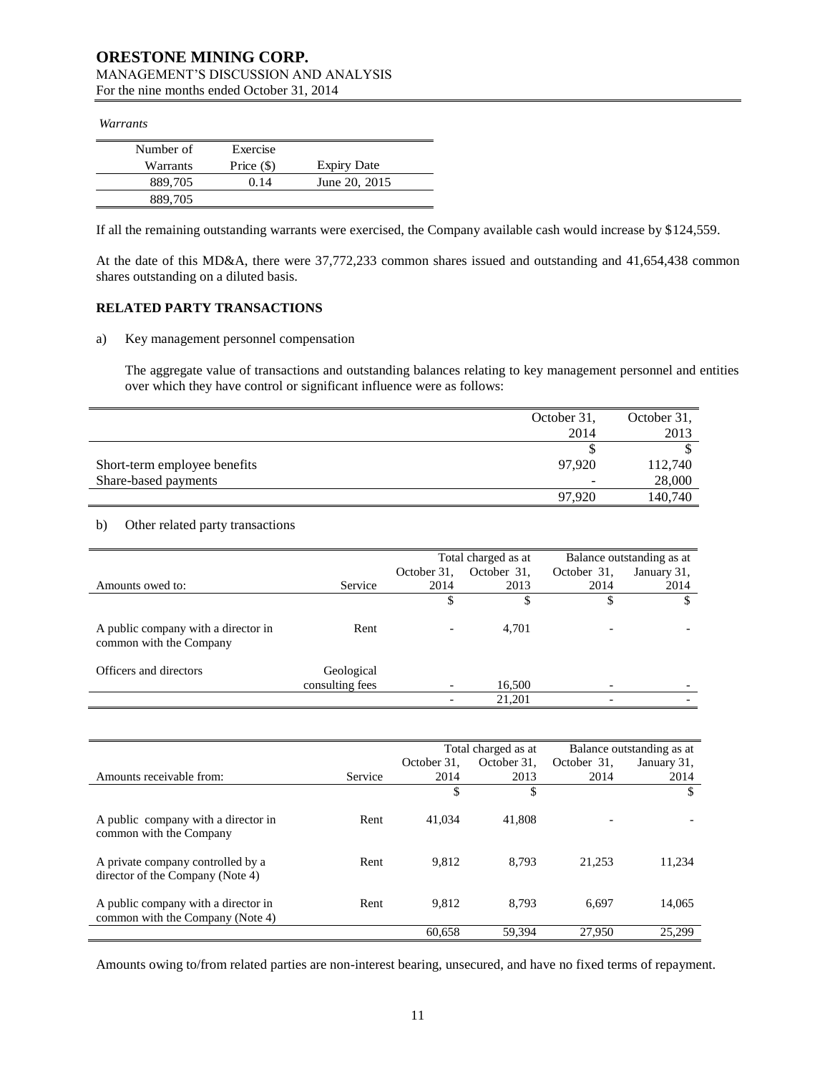## **ORESTONE MINING CORP.** MANAGEMENT'S DISCUSSION AND ANALYSIS

For the nine months ended October 31, 2014

#### *Warrants*

| Number of | Exercise     |                    |
|-----------|--------------|--------------------|
| Warrants  | Price $(\$)$ | <b>Expiry Date</b> |
| 889,705   | 0.14         | June 20, 2015      |
| 889,705   |              |                    |

If all the remaining outstanding warrants were exercised, the Company available cash would increase by \$124,559.

At the date of this MD&A, there were 37,772,233 common shares issued and outstanding and 41,654,438 common shares outstanding on a diluted basis.

## **RELATED PARTY TRANSACTIONS**

a) Key management personnel compensation

The aggregate value of transactions and outstanding balances relating to key management personnel and entities over which they have control or significant influence were as follows:

|                              | October 31, | October 31, |
|------------------------------|-------------|-------------|
|                              | 2014        | 2013        |
|                              |             |             |
| Short-term employee benefits | 97.920      | 112,740     |
| Share-based payments         |             | 28,000      |
|                              | 97.920      | 140,740     |

## b) Other related party transactions

|                                                                |            | Total charged as at      |             | Balance outstanding as at |             |
|----------------------------------------------------------------|------------|--------------------------|-------------|---------------------------|-------------|
|                                                                |            | October 31.              | October 31, | October 31,               | January 31, |
| Amounts owed to:                                               | Service    | 2014                     | 2013        | 2014                      | 2014        |
|                                                                |            | S                        |             |                           |             |
| A public company with a director in<br>common with the Company | Rent       | $\overline{\phantom{0}}$ | 4.701       |                           |             |
| Officers and directors                                         | Geological |                          |             |                           |             |

| __<br>. | COPCH<br>tees |                          | $\sim$ 0.0    |                          |  |
|---------|---------------|--------------------------|---------------|--------------------------|--|
|         |               | $\overline{\phantom{0}}$ | 201<br>21.201 | $\overline{\phantom{0}}$ |  |
|         |               |                          |               |                          |  |

|                                                                         |         | Total charged as at |             | Balance outstanding as at |             |
|-------------------------------------------------------------------------|---------|---------------------|-------------|---------------------------|-------------|
|                                                                         |         | October 31.         | October 31. | October 31,               | January 31, |
| Amounts receivable from:                                                | Service | 2014                | 2013        | 2014                      | 2014        |
|                                                                         |         | \$                  | \$          |                           | \$          |
| A public company with a director in<br>common with the Company          | Rent    | 41.034              | 41,808      |                           |             |
| A private company controlled by a<br>director of the Company (Note 4)   | Rent    | 9.812               | 8.793       | 21.253                    | 11,234      |
| A public company with a director in<br>common with the Company (Note 4) | Rent    | 9.812               | 8.793       | 6.697                     | 14.065      |
|                                                                         |         | 60.658              | 59.394      | 27,950                    | 25.299      |

Amounts owing to/from related parties are non-interest bearing, unsecured, and have no fixed terms of repayment.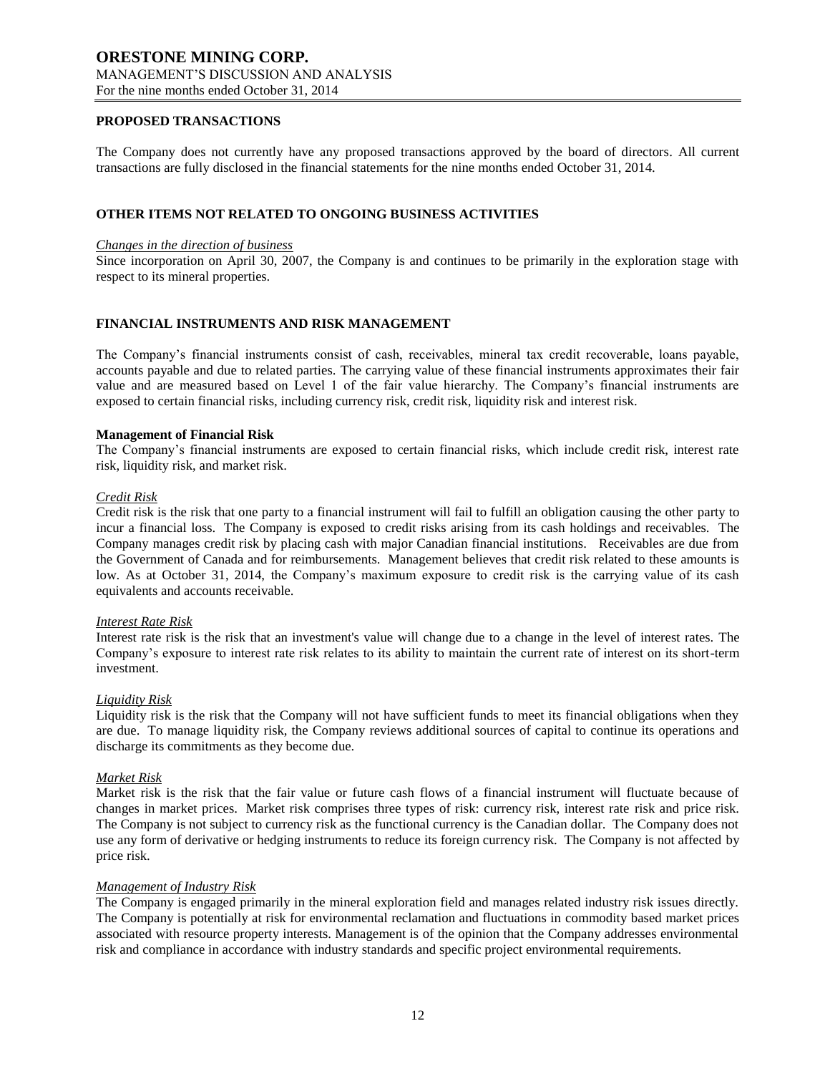## **PROPOSED TRANSACTIONS**

The Company does not currently have any proposed transactions approved by the board of directors. All current transactions are fully disclosed in the financial statements for the nine months ended October 31, 2014.

## **OTHER ITEMS NOT RELATED TO ONGOING BUSINESS ACTIVITIES**

#### *Changes in the direction of business*

Since incorporation on April 30, 2007, the Company is and continues to be primarily in the exploration stage with respect to its mineral properties.

## **FINANCIAL INSTRUMENTS AND RISK MANAGEMENT**

The Company's financial instruments consist of cash, receivables, mineral tax credit recoverable, loans payable, accounts payable and due to related parties. The carrying value of these financial instruments approximates their fair value and are measured based on Level 1 of the fair value hierarchy. The Company's financial instruments are exposed to certain financial risks, including currency risk, credit risk, liquidity risk and interest risk.

#### **Management of Financial Risk**

The Company's financial instruments are exposed to certain financial risks, which include credit risk, interest rate risk, liquidity risk, and market risk.

#### *Credit Risk*

Credit risk is the risk that one party to a financial instrument will fail to fulfill an obligation causing the other party to incur a financial loss. The Company is exposed to credit risks arising from its cash holdings and receivables. The Company manages credit risk by placing cash with major Canadian financial institutions. Receivables are due from the Government of Canada and for reimbursements. Management believes that credit risk related to these amounts is low. As at October 31, 2014, the Company's maximum exposure to credit risk is the carrying value of its cash equivalents and accounts receivable.

#### *Interest Rate Risk*

Interest rate risk is the risk that an investment's value will change due to a change in the level of interest rates. The Company's exposure to interest rate risk relates to its ability to maintain the current rate of interest on its short-term investment.

#### *Liquidity Risk*

Liquidity risk is the risk that the Company will not have sufficient funds to meet its financial obligations when they are due. To manage liquidity risk, the Company reviews additional sources of capital to continue its operations and discharge its commitments as they become due.

#### *Market Risk*

Market risk is the risk that the fair value or future cash flows of a financial instrument will fluctuate because of changes in market prices. Market risk comprises three types of risk: currency risk, interest rate risk and price risk. The Company is not subject to currency risk as the functional currency is the Canadian dollar. The Company does not use any form of derivative or hedging instruments to reduce its foreign currency risk. The Company is not affected by price risk.

#### *Management of Industry Risk*

The Company is engaged primarily in the mineral exploration field and manages related industry risk issues directly. The Company is potentially at risk for environmental reclamation and fluctuations in commodity based market prices associated with resource property interests. Management is of the opinion that the Company addresses environmental risk and compliance in accordance with industry standards and specific project environmental requirements.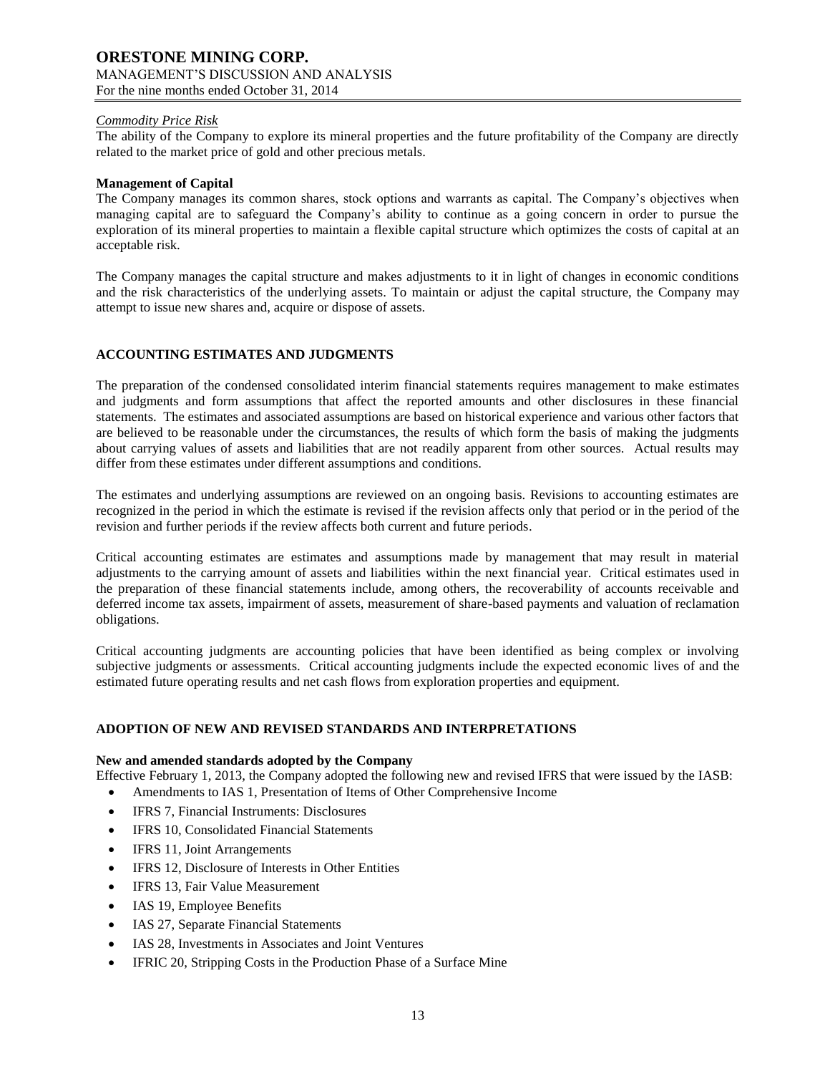## *Commodity Price Risk*

The ability of the Company to explore its mineral properties and the future profitability of the Company are directly related to the market price of gold and other precious metals.

## **Management of Capital**

The Company manages its common shares, stock options and warrants as capital. The Company's objectives when managing capital are to safeguard the Company's ability to continue as a going concern in order to pursue the exploration of its mineral properties to maintain a flexible capital structure which optimizes the costs of capital at an acceptable risk.

The Company manages the capital structure and makes adjustments to it in light of changes in economic conditions and the risk characteristics of the underlying assets. To maintain or adjust the capital structure, the Company may attempt to issue new shares and, acquire or dispose of assets.

## **ACCOUNTING ESTIMATES AND JUDGMENTS**

The preparation of the condensed consolidated interim financial statements requires management to make estimates and judgments and form assumptions that affect the reported amounts and other disclosures in these financial statements. The estimates and associated assumptions are based on historical experience and various other factors that are believed to be reasonable under the circumstances, the results of which form the basis of making the judgments about carrying values of assets and liabilities that are not readily apparent from other sources. Actual results may differ from these estimates under different assumptions and conditions.

The estimates and underlying assumptions are reviewed on an ongoing basis. Revisions to accounting estimates are recognized in the period in which the estimate is revised if the revision affects only that period or in the period of the revision and further periods if the review affects both current and future periods.

Critical accounting estimates are estimates and assumptions made by management that may result in material adjustments to the carrying amount of assets and liabilities within the next financial year. Critical estimates used in the preparation of these financial statements include, among others, the recoverability of accounts receivable and deferred income tax assets, impairment of assets, measurement of share-based payments and valuation of reclamation obligations.

Critical accounting judgments are accounting policies that have been identified as being complex or involving subjective judgments or assessments. Critical accounting judgments include the expected economic lives of and the estimated future operating results and net cash flows from exploration properties and equipment.

## **ADOPTION OF NEW AND REVISED STANDARDS AND INTERPRETATIONS**

## **New and amended standards adopted by the Company**

Effective February 1, 2013, the Company adopted the following new and revised IFRS that were issued by the IASB:

- Amendments to IAS 1, Presentation of Items of Other Comprehensive Income
- IFRS 7, Financial Instruments: Disclosures
- IFRS 10, Consolidated Financial Statements
- IFRS 11, Joint Arrangements
- IFRS 12, Disclosure of Interests in Other Entities
- IFRS 13, Fair Value Measurement
- IAS 19, Employee Benefits
- IAS 27, Separate Financial Statements
- IAS 28, Investments in Associates and Joint Ventures
- IFRIC 20, Stripping Costs in the Production Phase of a Surface Mine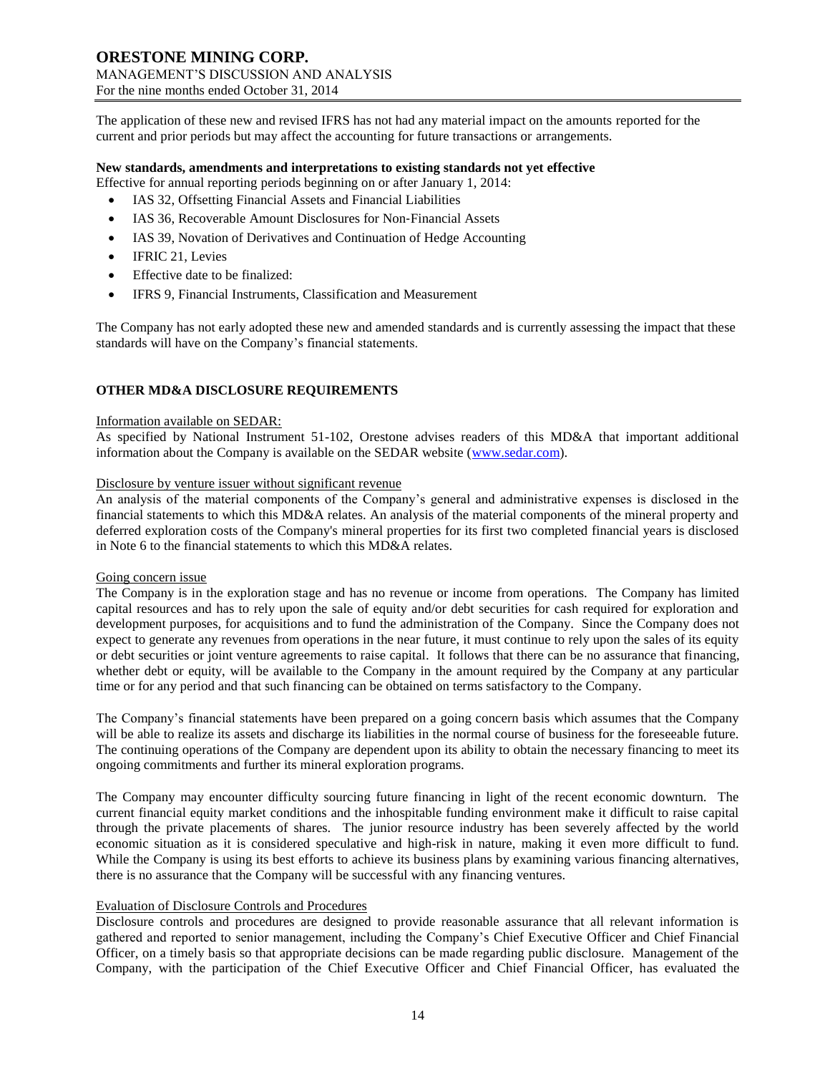The application of these new and revised IFRS has not had any material impact on the amounts reported for the current and prior periods but may affect the accounting for future transactions or arrangements.

#### **New standards, amendments and interpretations to existing standards not yet effective**

Effective for annual reporting periods beginning on or after January 1, 2014:

- IAS 32, Offsetting Financial Assets and Financial Liabilities
- IAS 36, Recoverable Amount Disclosures for Non‐Financial Assets
- IAS 39, Novation of Derivatives and Continuation of Hedge Accounting
- IFRIC 21, Levies
- Effective date to be finalized:
- IFRS 9, Financial Instruments, Classification and Measurement

The Company has not early adopted these new and amended standards and is currently assessing the impact that these standards will have on the Company's financial statements.

## **OTHER MD&A DISCLOSURE REQUIREMENTS**

#### Information available on SEDAR:

As specified by National Instrument 51-102, Orestone advises readers of this MD&A that important additional information about the Company is available on the SEDAR website [\(www.sedar.com\)](http://www.sedar.com/).

#### Disclosure by venture issuer without significant revenue

An analysis of the material components of the Company's general and administrative expenses is disclosed in the financial statements to which this MD&A relates. An analysis of the material components of the mineral property and deferred exploration costs of the Company's mineral properties for its first two completed financial years is disclosed in Note 6 to the financial statements to which this MD&A relates.

#### Going concern issue

The Company is in the exploration stage and has no revenue or income from operations. The Company has limited capital resources and has to rely upon the sale of equity and/or debt securities for cash required for exploration and development purposes, for acquisitions and to fund the administration of the Company. Since the Company does not expect to generate any revenues from operations in the near future, it must continue to rely upon the sales of its equity or debt securities or joint venture agreements to raise capital. It follows that there can be no assurance that financing, whether debt or equity, will be available to the Company in the amount required by the Company at any particular time or for any period and that such financing can be obtained on terms satisfactory to the Company.

The Company's financial statements have been prepared on a going concern basis which assumes that the Company will be able to realize its assets and discharge its liabilities in the normal course of business for the foreseeable future. The continuing operations of the Company are dependent upon its ability to obtain the necessary financing to meet its ongoing commitments and further its mineral exploration programs.

The Company may encounter difficulty sourcing future financing in light of the recent economic downturn. The current financial equity market conditions and the inhospitable funding environment make it difficult to raise capital through the private placements of shares. The junior resource industry has been severely affected by the world economic situation as it is considered speculative and high-risk in nature, making it even more difficult to fund. While the Company is using its best efforts to achieve its business plans by examining various financing alternatives, there is no assurance that the Company will be successful with any financing ventures.

#### Evaluation of Disclosure Controls and Procedures

Disclosure controls and procedures are designed to provide reasonable assurance that all relevant information is gathered and reported to senior management, including the Company's Chief Executive Officer and Chief Financial Officer, on a timely basis so that appropriate decisions can be made regarding public disclosure. Management of the Company, with the participation of the Chief Executive Officer and Chief Financial Officer, has evaluated the